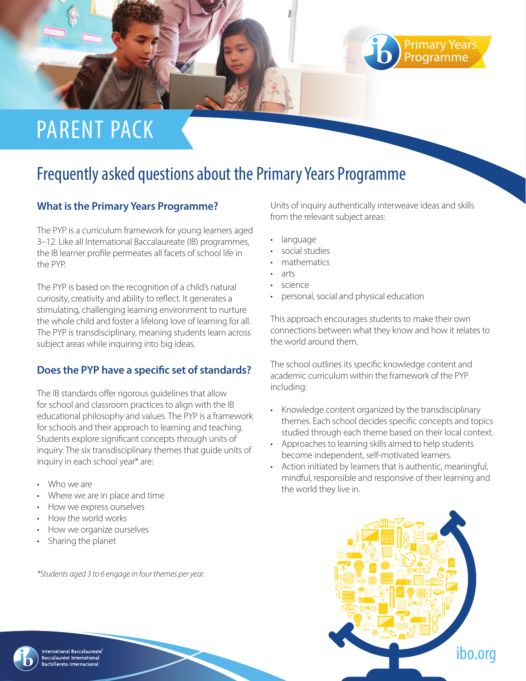

# Frequently asked questions about the Primary Years Programme

## **What is the Primary Years Programme?**

The PYP is a curriculum framework for young learners aged 3–12. Like all International Baccalaureate (IB) programmes, the IB learner profile permeates all facets of school life in the PYP.

The PYP is based on the recognition of a child's natural curiosity, creativity and ability to reflect. It generates a stimulating, challenging learning environment to nurture the whole child and foster a lifelong love of learning for all. The PYP is transdisciplinary, meaning students learn across subject areas while inquiring into big ideas.

## **Does the PYP have a specific set of standards?**

The IB standards offer rigorous guidelines that allow for school and classroom practices to align with the IB educational philosophy and values. The PYP is a framework for schools and their approach to learning and teaching. Students explore significant concepts through units of inquiry. The six transdisciplinary themes that guide units of inquiry in each school year\* are:

- Who we are
- Where we are in place and time
- How we express ourselves
- How the world works
- How we organize ourselves
- Sharing the planet

*\*Students aged 3 to 6 engage in four themes per year.*

Units of inquiry authentically interweave ideas and skills from the relevant subject areas:

Primary Years<br>Programme

- language
- social studies
- mathematics
- arts
- science
- personal, social and physical education

This approach encourages students to make their own connections between what they know and how it relates to the world around them.

The school outlines its specific knowledge content and academic curriculum within the framework of the PYP including:

- Knowledge content organized by the transdisciplinary themes. Each school decides specific concepts and topics studied through each theme based on their local context.
- Approaches to learning skills aimed to help students become independent, self-motivated learners.
- Action initiated by learners that is authentic, meaningful, mindful, responsible and responsive of their learning and the world they live in.